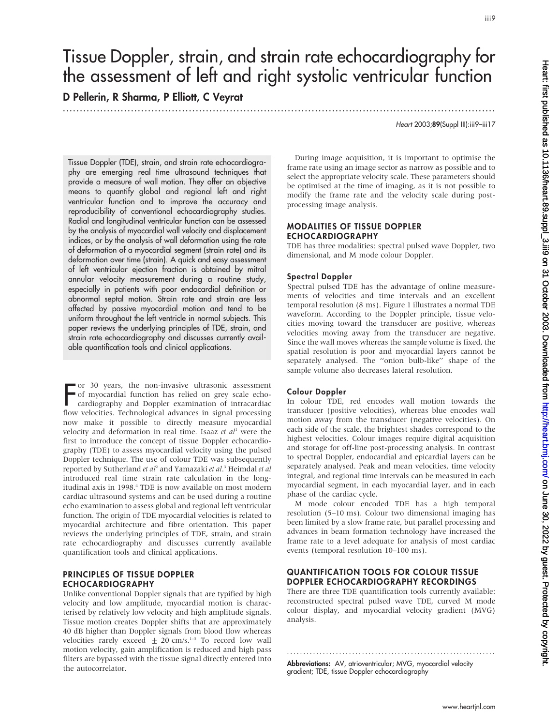# Tissue Doppler, strain, and strain rate echocardiography for the assessment of left and right systolic ventricular function

.............................................................................................................................. .

D Pellerin, R Sharma, P Elliott, C Veyrat

Heart 2003;89(Suppl III):iii9–iii17

Tissue Doppler (TDE), strain, and strain rate echocardiography are emerging real time ultrasound techniques that provide a measure of wall motion. They offer an objective means to quantify global and regional left and right ventricular function and to improve the accuracy and reproducibility of conventional echocardiography studies. Radial and longitudinal ventricular function can be assessed by the analysis of myocardial wall velocity and displacement indices, or by the analysis of wall deformation using the rate of deformation of a myocardial segment (strain rate) and its deformation over time (strain). A quick and easy assessment of left ventricular ejection fraction is obtained by mitral annular velocity measurement during a routine study, especially in patients with poor endocardial definition or abnormal septal motion. Strain rate and strain are less affected by passive myocardial motion and tend to be uniform throughout the left ventricle in normal subjects. This paper reviews the underlying principles of TDE, strain, and strain rate echocardiography and discusses currently available quantification tools and clinical applications.

For 30 years, the non-invasive ultrasonic assessment<br>of myocardial function has relied on grey scale echo-<br>cardiography and Doppler examination of intracardiac<br>flam valentities. Technological education is simple processing of myocardial function has relied on grey scale echocardiography and Doppler examination of intracardiac flow velocities. Technological advances in signal processing now make it possible to directly measure myocardial velocity and deformation in real time. Isaaz et  $al<sup>1</sup>$  were the first to introduce the concept of tissue Doppler echocardiography (TDE) to assess myocardial velocity using the pulsed Doppler technique. The use of colour TDE was subsequently reported by Sutherland et al<sup>2</sup> and Yamazaki et al.<sup>3</sup> Heimdal et al introduced real time strain rate calculation in the longitudinal axis in 1998.<sup>4</sup> TDE is now available on most modern cardiac ultrasound systems and can be used during a routine echo examination to assess global and regional left ventricular function. The origin of TDE myocardial velocities is related to myocardial architecture and fibre orientation. This paper reviews the underlying principles of TDE, strain, and strain rate echocardiography and discusses currently available quantification tools and clinical applications.

# PRINCIPLES OF TISSUE DOPPLER ECHOCARDIOGRAPHY

Unlike conventional Doppler signals that are typified by high velocity and low amplitude, myocardial motion is characterised by relatively low velocity and high amplitude signals. Tissue motion creates Doppler shifts that are approximately 40 dB higher than Doppler signals from blood flow whereas velocities rarely exceed  $\pm$  20 cm/s.<sup>1-3</sup> To record low wall motion velocity, gain amplification is reduced and high pass filters are bypassed with the tissue signal directly entered into the autocorrelator.

During image acquisition, it is important to optimise the frame rate using an image sector as narrow as possible and to select the appropriate velocity scale. These parameters should be optimised at the time of imaging, as it is not possible to modify the frame rate and the velocity scale during postprocessing image analysis.

# MODALITIES OF TISSUE DOPPLER ECHOCARDIOGRAPHY

TDE has three modalities: spectral pulsed wave Doppler, two dimensional, and M mode colour Doppler.

# Spectral Doppler

Spectral pulsed TDE has the advantage of online measurements of velocities and time intervals and an excellent temporal resolution (8 ms). Figure 1 illustrates a normal TDE waveform. According to the Doppler principle, tissue velocities moving toward the transducer are positive, whereas velocities moving away from the transducer are negative. Since the wall moves whereas the sample volume is fixed, the spatial resolution is poor and myocardial layers cannot be separately analysed. The ''onion bulb-like'' shape of the sample volume also decreases lateral resolution.

# Colour Doppler

In colour TDE, red encodes wall motion towards the transducer (positive velocities), whereas blue encodes wall motion away from the transducer (negative velocities). On each side of the scale, the brightest shades correspond to the highest velocities. Colour images require digital acquisition and storage for off-line post-processing analysis. In contrast to spectral Doppler, endocardial and epicardial layers can be separately analysed. Peak and mean velocities, time velocity integral, and regional time intervals can be measured in each myocardial segment, in each myocardial layer, and in each phase of the cardiac cycle.

M mode colour encoded TDE has a high temporal resolution (5–10 ms). Colour two dimensional imaging has been limited by a slow frame rate, but parallel processing and advances in beam formation technology have increased the frame rate to a level adequate for analysis of most cardiac events (temporal resolution 10–100 ms).

# QUANTIFICATION TOOLS FOR COLOUR TISSUE DOPPLER ECHOCARDIOGRAPHY RECORDINGS

There are three TDE quantification tools currently available: reconstructed spectral pulsed wave TDE, curved M mode colour display, and myocardial velocity gradient (MVG) analysis.

Abbreviations: AV, atrioventricular; MVG, myocardial velocity gradient; TDE, tissue Doppler echocardiography

............................................................... .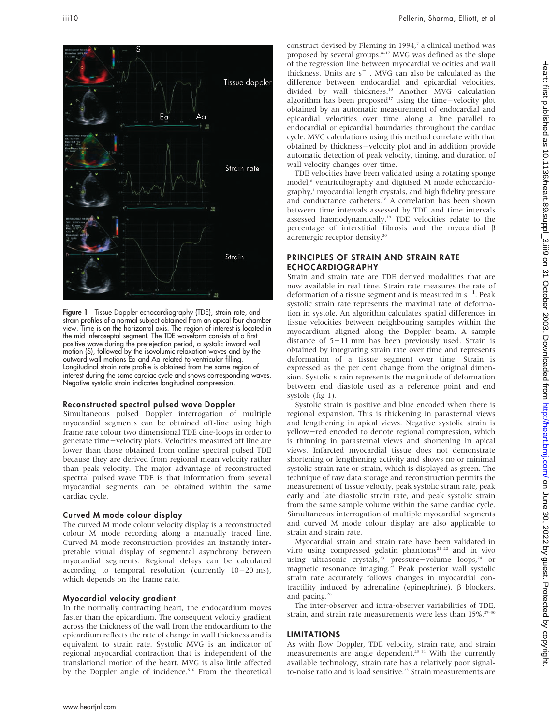

Figure 1 Tissue Doppler echocardiography (TDE), strain rate, and strain profiles of a normal subject obtained from an apical four chamber view. Time is on the horizontal axis. The region of interest is located in the mid inferoseptal segment. The TDE waveform consists of a first positive wave during the pre-ejection period, a systolic inward wall motion (S), followed by the isovolumic relaxation waves and by the outward wall motions Ea and Aa related to ventricular filling. Longitudinal strain rate profile is obtained from the same region of interest during the same cardiac cycle and shows corresponding waves. Negative systolic strain indicates longitudinal compression.

# Reconstructed spectral pulsed wave Doppler

Simultaneous pulsed Doppler interrogation of multiple myocardial segments can be obtained off-line using high frame rate colour two dimensional TDE cine-loops in order to generate time-velocity plots. Velocities measured off line are lower than those obtained from online spectral pulsed TDE because they are derived from regional mean velocity rather than peak velocity. The major advantage of reconstructed spectral pulsed wave TDE is that information from several myocardial segments can be obtained within the same cardiac cycle.

#### Curved M mode colour display

The curved M mode colour velocity display is a reconstructed colour M mode recording along a manually traced line. Curved M mode reconstruction provides an instantly interpretable visual display of segmental asynchrony between myocardial segments. Regional delays can be calculated according to temporal resolution (currently  $10-20$  ms), which depends on the frame rate.

#### Myocardial velocity gradient

In the normally contracting heart, the endocardium moves faster than the epicardium. The consequent velocity gradient across the thickness of the wall from the endocardium to the epicardium reflects the rate of change in wall thickness and is equivalent to strain rate. Systolic MVG is an indicator of regional myocardial contraction that is independent of the translational motion of the heart. MVG is also little affected by the Doppler angle of incidence.<sup>5 6</sup> From the theoretical construct devised by Fleming in 1994,7 a clinical method was proposed by several groups.<sup>8–17</sup> MVG was defined as the slope of the regression line between myocardial velocities and wall thickness. Units are  $s^{-1}$ . MVG can also be calculated as the difference between endocardial and epicardial velocities, divided by wall thickness.<sup>10</sup> Another MVG calculation algorithm has been proposed<sup>17</sup> using the time-velocity plot obtained by an automatic measurement of endocardial and epicardial velocities over time along a line parallel to endocardial or epicardial boundaries throughout the cardiac cycle. MVG calculations using this method correlate with that obtained by thickness-velocity plot and in addition provide automatic detection of peak velocity, timing, and duration of wall velocity changes over time.

TDE velocities have been validated using a rotating sponge model,<sup>8</sup> ventriculography and digitised M mode echocardiography,1 myocardial length crystals, and high fidelity pressure and conductance catheters.<sup>18</sup> A correlation has been shown between time intervals assessed by TDE and time intervals assessed haemodynamically.19 TDE velocities relate to the percentage of interstitial fibrosis and the myocardial  $\beta$ adrenergic receptor density.20

## PRINCIPLES OF STRAIN AND STRAIN RATE ECHOCARDIOGRAPHY

Strain and strain rate are TDE derived modalities that are now available in real time. Strain rate measures the rate of deformation of a tissue segment and is measured in  $s^{-1}$ . Peak systolic strain rate represents the maximal rate of deformation in systole. An algorithm calculates spatial differences in tissue velocities between neighbouring samples within the myocardium aligned along the Doppler beam. A sample distance of  $5-11$  mm has been previously used. Strain is obtained by integrating strain rate over time and represents deformation of a tissue segment over time. Strain is expressed as the per cent change from the original dimension. Systolic strain represents the magnitude of deformation between end diastole used as a reference point and end systole (fig 1).

Systolic strain is positive and blue encoded when there is regional expansion. This is thickening in parasternal views and lengthening in apical views. Negative systolic strain is yellow-red encoded to denote regional compression, which is thinning in parasternal views and shortening in apical views. Infarcted myocardial tissue does not demonstrate shortening or lengthening activity and shows no or minimal systolic strain rate or strain, which is displayed as green. The technique of raw data storage and reconstruction permits the measurement of tissue velocity, peak systolic strain rate, peak early and late diastolic strain rate, and peak systolic strain from the same sample volume within the same cardiac cycle. Simultaneous interrogation of multiple myocardial segments and curved M mode colour display are also applicable to strain and strain rate.

Myocardial strain and strain rate have been validated in vitro using compressed gelatin phantoms<sup>21 22</sup> and in vivo using ultrasonic crystals,<sup>23</sup> pressure-volume loops,<sup>24</sup> or magnetic resonance imaging.25 Peak posterior wall systolic strain rate accurately follows changes in myocardial contractility induced by adrenaline (epinephrine),  $\beta$  blockers, and pacing.26

The inter-observer and intra-observer variabilities of TDE, strain, and strain rate measurements were less than  $15\%$ .<sup>27-30</sup>

#### LIMITATIONS

As with flow Doppler, TDE velocity, strain rate, and strain measurements are angle dependent.<sup>23 31</sup> With the currently available technology, strain rate has a relatively poor signalto-noise ratio and is load sensitive.<sup>23</sup> Strain measurements are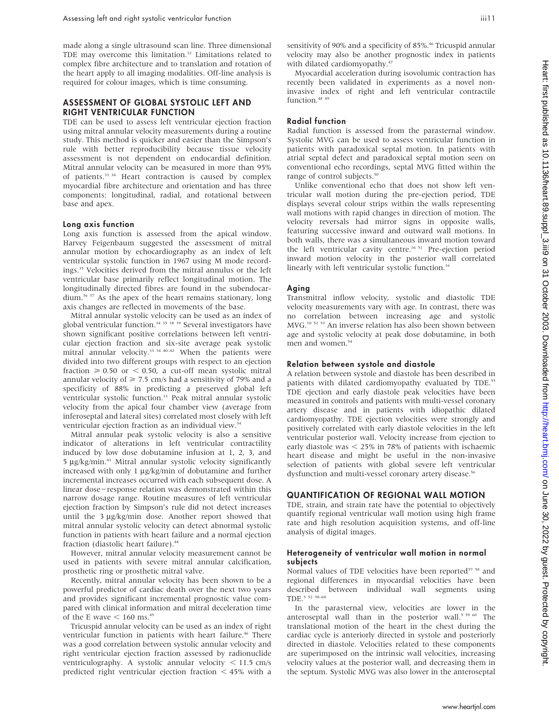made along a single ultrasound scan line. Three dimensional TDE may overcome this limitation.<sup>32</sup> Limitations related to complex fibre architecture and to translation and rotation of the heart apply to all imaging modalities. Off-line analysis is required for colour images, which is time consuming.

# ASSESSMENT OF GLOBAL SYSTOLIC LEFT AND RIGHT VENTRICULAR FUNCTION

TDE can be used to assess left ventricular ejection fraction using mitral annular velocity measurements during a routine study. This method is quicker and easier than the Simpson's rule with better reproducibility because tissue velocity assessment is not dependent on endocardial definition. Mitral annular velocity can be measured in more than 95% of patients.33 34 Heart contraction is caused by complex myocardial fibre architecture and orientation and has three components: longitudinal, radial, and rotational between base and apex.

#### Long axis function

Long axis function is assessed from the apical window. Harvey Feigenbaum suggested the assessment of mitral annular motion by echocardiography as an index of left ventricular systolic function in 1967 using M mode recordings.35 Velocities derived from the mitral annulus or the left ventricular base primarily reflect longitudinal motion. The longitudinally directed fibres are found in the subendocardium.36 37 As the apex of the heart remains stationary, long axis changes are reflected in movements of the base.

Mitral annular systolic velocity can be used as an index of global ventricular function.<sup>34 35</sup> 38<sup>39</sup> Several investigators have shown significant positive correlations between left ventricular ejection fraction and six-site average peak systolic mitral annular velocity.<sup>33 34 40–42</sup> When the patients were divided into two different groups with respect to an ejection fraction  $\geq 0.50$  or  $\leq 0.50$ , a cut-off mean systolic mitral annular velocity of  $\geq 7.5$  cm/s had a sensitivity of 79% and a specificity of 88% in predicting a preserved global left ventricular systolic function.<sup>33</sup> Peak mitral annular systolic velocity from the apical four chamber view (average from inferoseptal and lateral sites) correlated most closely with left ventricular ejection fraction as an individual view.

Mitral annular peak systolic velocity is also a sensitive indicator of alterations in left ventricular contractility induced by low dose dobutamine infusion at 1, 2, 3, and 5 µg/kg/min.<sup>43</sup> Mitral annular systolic velocity significantly increased with only  $1 \mu g/kg/min$  of dobutamine and further incremental increases occurred with each subsequent dose. A linear dose-response relation was demonstrated within this narrow dosage range. Routine measures of left ventricular ejection fraction by Simpson's rule did not detect increases until the  $3 \mu g/kg/min$  dose. Another report showed that mitral annular systolic velocity can detect abnormal systolic function in patients with heart failure and a normal ejection fraction (diastolic heart failure).<sup>44</sup>

However, mitral annular velocity measurement cannot be used in patients with severe mitral annular calcification, prosthetic ring or prosthetic mitral valve.

Recently, mitral annular velocity has been shown to be a powerful predictor of cardiac death over the next two years and provides significant incremental prognostic value compared with clinical information and mitral deceleration time of the E wave  $< 160$  ms.<sup>45</sup>

Tricuspid annular velocity can be used as an index of right ventricular function in patients with heart failure.<sup>46</sup> There was a good correlation between systolic annular velocity and right ventricular ejection fraction assessed by radionuclide ventriculography. A systolic annular velocity  $\lt$  11.5 cm/s predicted right ventricular ejection fraction  $\lt$  45% with a sensitivity of 90% and a specificity of 85%.<sup>46</sup> Tricuspid annular velocity may also be another prognostic index in patients with dilated cardiomyopathy.<sup>4</sup>

Myocardial acceleration during isovolumic contraction has recently been validated in experiments as a novel noninvasive index of right and left ventricular contractile function.<sup>48 49</sup>

# Radial function

Radial function is assessed from the parasternal window. Systolic MVG can be used to assess ventricular function in patients with paradoxical septal motion. In patients with atrial septal defect and paradoxical septal motion seen on conventional echo recordings, septal MVG fitted within the range of control subjects.<sup>50</sup>

Unlike conventional echo that does not show left ventricular wall motion during the pre-ejection period, TDE displays several colour strips within the walls representing wall motions with rapid changes in direction of motion. The velocity reversals had mirror signs in opposite walls, featuring successive inward and outward wall motions. In both walls, there was a simultaneous inward motion toward the left ventricular cavity centre.<sup>16 51</sup> Pre-ejection period inward motion velocity in the posterior wall correlated linearly with left ventricular systolic function.<sup>16</sup>

#### Aging

Transmitral inflow velocity, systolic and diastolic TDE velocity measurements vary with age. In contrast, there was no correlation between increasing age and systolic MVG.10 52 53 An inverse relation has also been shown between age and systolic velocity at peak dose dobutamine, in both men and women.<sup>54</sup>

#### Relation between systole and diastole

A relation between systole and diastole has been described in patients with dilated cardiomyopathy evaluated by TDE.<sup>55</sup> TDE ejection and early diastole peak velocities have been measured in controls and patients with multi-vessel coronary artery disease and in patients with idiopathic dilated cardiomyopathy. TDE ejection velocities were strongly and positively correlated with early diastole velocities in the left ventricular posterior wall. Velocity increase from ejection to early diastole was  $<$  25% in 78% of patients with ischaemic heart disease and might be useful in the non-invasive selection of patients with global severe left ventricular dysfunction and multi-vessel coronary artery disease.<sup>56</sup>

## QUANTIFICATION OF REGIONAL WALL MOTION

TDE, strain, and strain rate have the potential to objectively quantify regional ventricular wall motion using high frame rate and high resolution acquisition systems, and off-line analysis of digital images.

## Heterogeneity of ventricular wall motion in normal subjects

Normal values of TDE velocities have been reported<sup>57 58</sup> and regional differences in myocardial velocities have been described between individual wall segments using TDE.5 52 58–60

In the parasternal view, velocities are lower in the anteroseptal wall than in the posterior wall.<sup>5 59 60</sup> The translational motion of the heart in the chest during the cardiac cycle is anteriorly directed in systole and posteriorly directed in diastole. Velocities related to these components are superimposed on the intrinsic wall velocities, increasing velocity values at the posterior wall, and decreasing them in the septum. Systolic MVG was also lower in the anteroseptal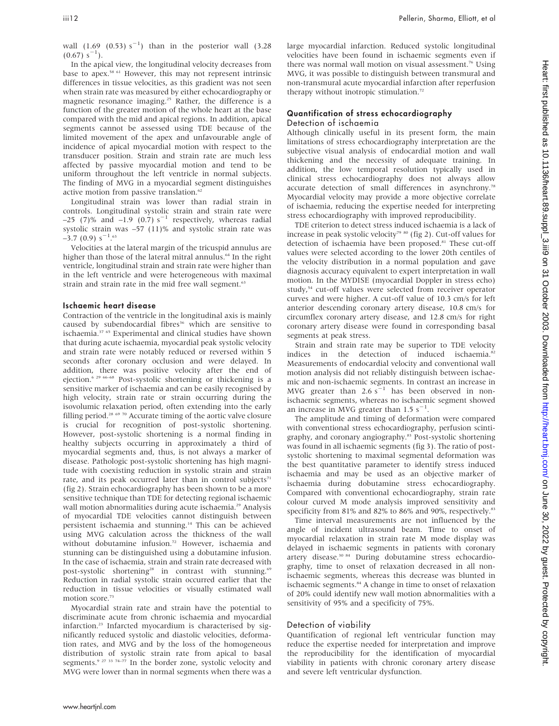wall  $(1.69 (0.53) s^{-1})$  than in the posterior wall  $(3.28$  $(0.67) s^{-1}$ ).

In the apical view, the longitudinal velocity decreases from base to apex.58 61 However, this may not represent intrinsic differences in tissue velocities, as this gradient was not seen when strain rate was measured by either echocardiography or magnetic resonance imaging.<sup>25</sup> Rather, the difference is a function of the greater motion of the whole heart at the base compared with the mid and apical regions. In addition, apical segments cannot be assessed using TDE because of the limited movement of the apex and unfavourable angle of incidence of apical myocardial motion with respect to the transducer position. Strain and strain rate are much less affected by passive myocardial motion and tend to be uniform throughout the left ventricle in normal subjects. The finding of MVG in a myocardial segment distinguishes active motion from passive translation.<sup>62</sup>

Longitudinal strain was lower than radial strain in controls. Longitudinal systolic strain and strain rate were –25 (7)% and –1.9 (0.7) s<sup>-1</sup> respectively, whereas radial systolic strain was –57 (11)% and systolic strain rate was  $-3.7$  (0.9) s<sup>-1</sup>.<sup>63</sup>

Velocities at the lateral margin of the tricuspid annulus are higher than those of the lateral mitral annulus.<sup>64</sup> In the right ventricle, longitudinal strain and strain rate were higher than in the left ventricle and were heterogeneous with maximal strain and strain rate in the mid free wall segment.<sup>63</sup>

#### Ischaemic heart disease

Contraction of the ventricle in the longitudinal axis is mainly caused by subendocardial fibres<sup>36</sup> which are sensitive to ischaemia.37 65 Experimental and clinical studies have shown that during acute ischaemia, myocardial peak systolic velocity and strain rate were notably reduced or reversed within 5 seconds after coronary occlusion and were delayed. In addition, there was positive velocity after the end of ejection.6 29 66–68 Post-systolic shortening or thickening is a sensitive marker of ischaemia and can be easily recognised by high velocity, strain rate or strain occurring during the isovolumic relaxation period, often extending into the early filling period.<sup>28 69 70</sup> Accurate timing of the aortic valve closure is crucial for recognition of post-systolic shortening. However, post-systolic shortening is a normal finding in healthy subjects occurring in approximately a third of myocardial segments and, thus, is not always a marker of disease. Pathologic post-systolic shortening has high magnitude with coexisting reduction in systolic strain and strain rate, and its peak occurred later than in control subjects $71$ (fig 2). Strain echocardiography has been shown to be a more sensitive technique than TDE for detecting regional ischaemic wall motion abnormalities during acute ischaemia.<sup>29</sup> Analysis of myocardial TDE velocities cannot distinguish between persistent ischaemia and stunning.14 This can be achieved using MVG calculation across the thickness of the wall without dobutamine infusion.<sup>72</sup> However, ischaemia and stunning can be distinguished using a dobutamine infusion. In the case of ischaemia, strain and strain rate decreased with post-systolic shortening<sup>28</sup> in contrast with stunning.<sup>69</sup> Reduction in radial systolic strain occurred earlier that the reduction in tissue velocities or visually estimated wall motion score.<sup>73</sup>

Myocardial strain rate and strain have the potential to discriminate acute from chronic ischaemia and myocardial infarction.23 Infarcted myocardium is characterised by significantly reduced systolic and diastolic velocities, deformation rates, and MVG and by the loss of the homogeneous distribution of systolic strain rate from apical to basal segments.<sup>9 27 33 74–77</sup> In the border zone, systolic velocity and MVG were lower than in normal segments when there was a large myocardial infarction. Reduced systolic longitudinal velocities have been found in ischaemic segments even if there was normal wall motion on visual assessment.<sup>76</sup> Using MVG, it was possible to distinguish between transmural and non-transmural acute myocardial infarction after reperfusion therapy without inotropic stimulation.<sup>72</sup>

# Quantification of stress echocardiography Detection of ischaemia

Although clinically useful in its present form, the main limitations of stress echocardiography interpretation are the subjective visual analysis of endocardial motion and wall thickening and the necessity of adequate training. In addition, the low temporal resolution typically used in clinical stress echocardiography does not always allow accurate detection of small differences in asynchrony.78 Myocardial velocity may provide a more objective correlate of ischaemia, reducing the expertise needed for interpreting stress echocardiography with improved reproducibility.

TDE criterion to detect stress induced ischaemia is a lack of increase in peak systolic velocity<sup>79 80</sup> (fig 2). Cut-off values for detection of ischaemia have been proposed.<sup>81</sup> These cut-off values were selected according to the lower 20th centiles of the velocity distribution in a normal population and gave diagnosis accuracy equivalent to expert interpretation in wall motion. In the MYDISE (myocardial Doppler in stress echo) study,<sup>54</sup> cut-off values were selected from receiver operator curves and were higher. A cut-off value of 10.3 cm/s for left anterior descending coronary artery disease, 10.8 cm/s for circumflex coronary artery disease, and 12.8 cm/s for right coronary artery disease were found in corresponding basal segments at peak stress.

Strain and strain rate may be superior to TDE velocity indices in the detection of induced ischaemia.<sup>82</sup> Measurements of endocardial velocity and conventional wall motion analysis did not reliably distinguish between ischaemic and non-ischaemic segments. In contrast an increase in MVG greater than  $2.6 \text{ s}^{-1}$  has been observed in nonischaemic segments, whereas no ischaemic segment showed an increase in MVG greater than  $1.5 \text{ s}^{-1}$ .

The amplitude and timing of deformation were compared with conventional stress echocardiography, perfusion scintigraphy, and coronary angiography.83 Post-systolic shortening was found in all ischaemic segments (fig 3). The ratio of postsystolic shortening to maximal segmental deformation was the best quantitative parameter to identify stress induced ischaemia and may be used as an objective marker of ischaemia during dobutamine stress echocardiography. Compared with conventional echocardiography, strain rate colour curved M mode analysis improved sensitivity and specificity from 81% and 82% to 86% and 90%, respectively.<sup>83</sup>

Time interval measurements are not influenced by the angle of incident ultrasound beam. Time to onset of myocardial relaxation in strain rate M mode display was delayed in ischaemic segments in patients with coronary artery disease.30 84 During dobutamine stress echocardiography, time to onset of relaxation decreased in all nonischaemic segments, whereas this decrease was blunted in ischaemic segments.<sup>84</sup> A change in time to onset of relaxation of 20% could identify new wall motion abnormalities with a sensitivity of 95% and a specificity of 75%.

#### Detection of viability

Quantification of regional left ventricular function may reduce the expertise needed for interpretation and improve the reproducibility for the identification of myocardial viability in patients with chronic coronary artery disease and severe left ventricular dysfunction.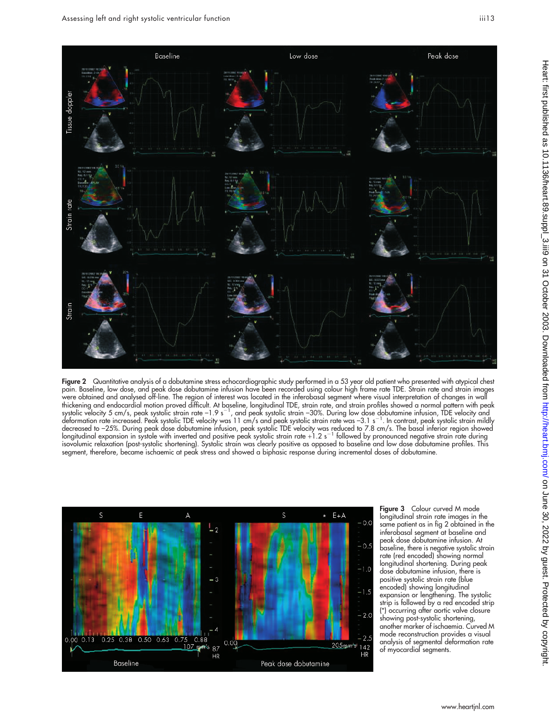

Figure 2 Quantitative analysis of a dobutamine stress echocardiographic study performed in a 53 year old patient who presented with atypical chest pain. Baseline, low dose, and peak dose dobutamine infusion have been recorded using colour high frame rate TDE. Strain rate and strain images were obtained and analysed off-line. The region of interest was located in the inferobasal segment where visual interpretation of changes in wall thickening and endocardial motion proved difficult. At baseline, longitudinal TDE, strain rate, and strain profiles showed a normal pattern with peak systolic velocity 5 cm/s, peak systolic strain rate –1.9 s<sup>–1</sup>, and peak systolic strain –30%. During low dose dobutamine infusion, TDE velocity and<br>deformation rate increased. Peak systolic TDE velocity was 11 cm/s and pe decreased to –25%. During peak dose dobutamine intusion, peak systolic TDE velocity was reduced to 7.8 cm/s. The basal interior region showed<br>longitudinal expansion in systole with inverted and positive peak systolic strai isovolumic relaxation (post-systolic shortening). Systolic strain was clearly positive as opposed to baseline and low dose dobutamine profiles. This segment, therefore, became ischaemic at peak stress and showed a biphasic response during incremental doses of dobutamine.



**Figure 3** Colour curved M mode longitudinal strain rate images in the same patient as in fig 2 obtained in the inferobasal segment at baseline and peak dose dobutamine infusion. At baseline, there is negative systolic strain rate (red encoded) showing normal longitudinal shortening. During peak dose dobutamine infusion, there is positive systolic strain rate (blue encoded) showing longitudinal expansion or lengthening. The systolic strip is followed by a red encoded strip (\*) occurring after aortic valve closure showing post-systolic shortening, another marker of ischaemia. Curved M mode reconstruction provides a visual analysis of segmental deformation rate of myocardial segments.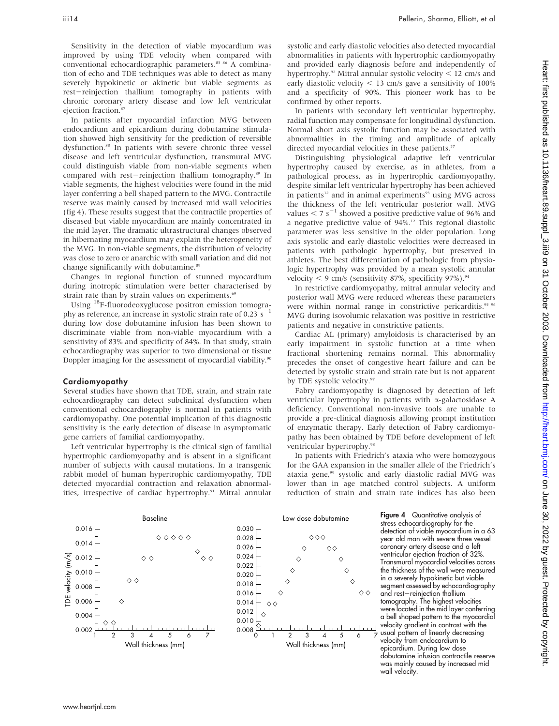Sensitivity in the detection of viable myocardium was improved by using TDE velocity when compared with conventional echocardiographic parameters.<sup>85 86</sup> A combination of echo and TDE techniques was able to detect as many severely hypokinetic or akinetic but viable segments as rest-reinjection thallium tomography in patients with chronic coronary artery disease and low left ventricular ejection fraction.<sup>8</sup>

In patients after myocardial infarction MVG between endocardium and epicardium during dobutamine stimulation showed high sensitivity for the prediction of reversible dysfunction.<sup>88</sup> In patients with severe chronic three vessel disease and left ventricular dysfunction, transmural MVG could distinguish viable from non-viable segments when compared with rest-reinjection thallium tomography.<sup>89</sup> In viable segments, the highest velocities were found in the mid layer conferring a bell shaped pattern to the MVG. Contractile reserve was mainly caused by increased mid wall velocities (fig 4). These results suggest that the contractile properties of diseased but viable myocardium are mainly concentrated in the mid layer. The dramatic ultrastructural changes observed in hibernating myocardium may explain the heterogeneity of the MVG. In non-viable segments, the distribution of velocity was close to zero or anarchic with small variation and did not change significantly with dobutamine.<sup>89</sup>

Changes in regional function of stunned myocardium during inotropic stimulation were better characterised by strain rate than by strain values on experiments.<sup>69</sup>

Using 18F-fluorodeoxyglucose positron emission tomography as reference, an increase in systolic strain rate of 0.23  $s$ <sup>-</sup> during low dose dobutamine infusion has been shown to discriminate viable from non-viable myocardium with a sensitivity of 83% and specificity of 84%. In that study, strain echocardiography was superior to two dimensional or tissue Doppler imaging for the assessment of myocardial viability.<sup>90</sup>

#### Cardiomyopathy

Several studies have shown that TDE, strain, and strain rate echocardiography can detect subclinical dysfunction when conventional echocardiography is normal in patients with cardiomyopathy. One potential implication of this diagnostic sensitivity is the early detection of disease in asymptomatic gene carriers of familial cardiomyopathy.

Left ventricular hypertrophy is the clinical sign of familial hypertrophic cardiomyopathy and is absent in a significant number of subjects with causal mutations. In a transgenic rabbit model of human hypertrophic cardiomyopathy, TDE detected myocardial contraction and relaxation abnormalities, irrespective of cardiac hypertrophy.<sup>91</sup> Mitral annular systolic and early diastolic velocities also detected myocardial abnormalities in patients with hypertrophic cardiomyopathy and provided early diagnosis before and independently of hypertrophy.<sup>92</sup> Mitral annular systolic velocity  $<$  12 cm/s and early diastolic velocity  $<$  13 cm/s gave a sensitivity of 100% and a specificity of 90%. This pioneer work has to be confirmed by other reports.

In patients with secondary left ventricular hypertrophy, radial function may compensate for longitudinal dysfunction. Normal short axis systolic function may be associated with abnormalities in the timing and amplitude of apically directed myocardial velocities in these patients.<sup>57</sup>

Distinguishing physiological adaptive left ventricular hypertrophy caused by exercise, as in athletes, from a pathological process, as in hypertrophic cardiomyopathy, despite similar left ventricular hypertrophy has been achieved in patients<sup>12</sup> and in animal experiments<sup>93</sup> using MVG across the thickness of the left ventricular posterior wall. MVG values  $\leq 7$  s<sup>-1</sup> showed a positive predictive value of 96% and a negative predictive value of 94%.12 This regional diastolic parameter was less sensitive in the older population. Long axis systolic and early diastolic velocities were decreased in patients with pathologic hypertrophy, but preserved in athletes. The best differentiation of pathologic from physiologic hypertrophy was provided by a mean systolic annular velocity  $\leq$  9 cm/s (sensitivity 87%, specificity 97%).<sup>94</sup>

In restrictive cardiomyopathy, mitral annular velocity and posterior wall MVG were reduced whereas these parameters were within normal range in constrictive pericarditis.<sup>95 96</sup> MVG during isovolumic relaxation was positive in restrictive patients and negative in constrictive patients.

Cardiac AL (primary) amyloidosis is characterised by an early impairment in systolic function at a time when fractional shortening remains normal. This abnormality precedes the onset of congestive heart failure and can be detected by systolic strain and strain rate but is not apparent by TDE systolic velocity.<sup>97</sup>

Fabry cardiomyopathy is diagnosed by detection of left ventricular hypertrophy in patients with a-galactosidase A deficiency. Conventional non-invasive tools are unable to provide a pre-clinical diagnosis allowing prompt institution of enzymatic therapy. Early detection of Fabry cardiomyopathy has been obtained by TDE before development of left ventricular hypertrophy.<sup>98</sup>

In patients with Friedrich's ataxia who were homozygous for the GAA expansion in the smaller allele of the Friedrich's ataxia gene,<sup>99</sup> systolic and early diastolic radial MVG was lower than in age matched control subjects. A uniform reduction of strain and strain rate indices has also been



Figure 4 Quantitative analysis of stress echocardiography for the detection of viable myocardium in a 63 year old man with severe three vessel coronary artery disease and a left ventricular ejection fraction of 32%. Transmural myocardial velocities across the thickness of the wall were measured in a severely hypokinetic but viable segment assessed by echocardiography and rest-reinjection thallium tomography. The highest velocities located in the mid layer conferring a bell shaped pattern to the myocardia velocity gradient in contrast with the usual pattern of linearly decreasing velocity from endocardium to epicardium. During low dose dobutamine infusion contractile reserve was mainly caused by increased mid wall velocity.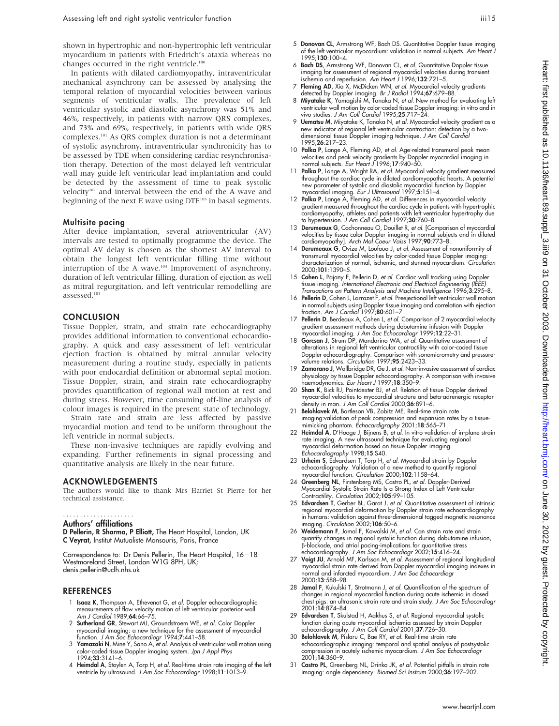shown in hypertrophic and non-hypertrophic left ventricular myocardium in patients with Friedrich's ataxia whereas no changes occurred in the right ventricle.<sup>100</sup>

In patients with dilated cardiomyopathy, intraventricular mechanical asynchrony can be assessed by analysing the temporal relation of myocardial velocities between various segments of ventricular walls. The prevalence of left ventricular systolic and diastolic asynchrony was 51% and 46%, respectively, in patients with narrow QRS complexes, and 73% and 69%, respectively, in patients with wide QRS complexes.101 As QRS complex duration is not a determinant of systolic asynchrony, intraventricular synchronicity has to be assessed by TDE when considering cardiac resynchronisation therapy. Detection of the most delayed left ventricular wall may guide left ventricular lead implantation and could be detected by the assessment of time to peak systolic velocity102 and interval between the end of the A wave and beginning of the next E wave using DTE<sup>103</sup> in basal segments.

## Multisite pacing

After device implantation, several atrioventricular (AV) intervals are tested to optimally programme the device. The optimal AV delay is chosen as the shortest AV interval to obtain the longest left ventricular filling time without interruption of the A wave.104 Improvement of asynchrony, duration of left ventricular filling, duration of ejection as well as mitral regurgitation, and left ventricular remodelling are assessed.105

# **CONCLUSION**

Tissue Doppler, strain, and strain rate echocardiography provides additional information to conventional echocardiography. A quick and easy assessment of left ventricular ejection fraction is obtained by mitral annular velocity measurement during a routine study, especially in patients with poor endocardial definition or abnormal septal motion. Tissue Doppler, strain, and strain rate echocardiography provides quantification of regional wall motion at rest and during stress. However, time consuming off-line analysis of colour images is required in the present state of technology.

Strain rate and strain are less affected by passive myocardial motion and tend to be uniform throughout the left ventricle in normal subjects.

These non-invasive techniques are rapidly evolving and expanding. Further refinements in signal processing and quantitative analysis are likely in the near future.

#### ACKNOWLEDGEMENTS

The authors would like to thank Mrs Harriet St Pierre for her technical assistance.

#### Authors' affiliations .....................

D Pellerin, R Sharma, P Elliott, The Heart Hospital, London, UK C Veyrat, Institut Mutualiste Monsouris, Paris, France

Correspondence to: Dr Denis Pellerin, The Heart Hospital, 16-18 Westmoreland Street, London W1G 8PH, UK; denis.pellerin@uclh.nhs.uk

## **REFERENCES**

- 1 Isaaz K, Thompson A, Ethevenot G, et al. Doppler echocardiographic measurements of flow velocity motion of left ventricular posterior wall. Am J Cardiol 1989;64:66–75.
- 2 Sutherland GR, Stewart MJ, Groundstroem WE, et al. Color Doppler myocardial imaging: a new technique for the assessment of myocardial function. J Am Soc Echocardiogr 1994;7:441–58.
- 3 Yamazaki N, Mine Y, Sano A, et al. Analysis of ventricular wall motion using color-coded tissue Doppler imaging system. Jpn J Appl Phys 1994;33:3141–6.
- 4 Heimdal A, Stoylen A, Torp H, et al. Real-time strain rate imaging of the left ventricle by ultrasound. J Am Soc Echocardiogr 1998;11:1013–9.
- 5 Donovan CL, Armstrong WF, Bach DS. Quantitative Doppler tissue imaging of the left ventricular myocardium: validation in normal subjects. Am Heart J 1995;130:100–4.
- 6 Bach DS, Armstrong WF, Donovan CL, et al. Quantitative Doppler tissue imaging for assessment of regional myocardial velocities during transient ischemia and reperfusion. Am Heart J 1996;132:721–5.
- 7 Fleming AD, Xia X, McDicken WN, et al. Myocardial velocity gradients detected by Doppler imaging. Br J Radiol 1994;67:679-88.
- 8 Miyatake K, Yamagishi M, Tanaka N, et al. New method for evaluating left ventricular wall motion by color-coded tissue Doppler imaging: in vitro and in vivo studies. J Am Coll Cardiol 1995;25:717–24.
- 9 Uematsu M, Miyatake K, Tanaka N, et al. Myocardial velocity gradient as a new indicator of regional left ventricular contraction: detection by a twodimensional tissue Doppler imaging technique. J Am Coll Cardiol 1995;26:217–23.
- 10 Palka P, Lange A, Fleming AD, et al. Age-related transmural peak mean velocities and peak velocity gradients by Doppler myocardial imaging in<br>normal subjects. *Eur Heart J* 1996;**17**:940–50.
- 11 Palka P, Lange A, Wright RA, et al. Myocardial velocity gradient measured throughout the cardiac cycle in dilated cardiomyopathic hearts. A potential new parameter of systolic and diastolic myocardial function by Doppler
- myocardial imaging. *Eur J Ultrasound* 1997;5:151–4.<br>12 **Palka P**, Lange A, Fleming AD, *et al. Differences in myocardial velocity*<br>12 gradient measured throughout the cardiac cycle in patients with hypertrophic cardiomyopathy, athletes and patients with left ventricular hypertrophy due to hypertension. J Am Coll Cardiol 1997;30:760–8.
- 13 Derumeaux G, Cochonneau O, Douillet R, et al. [Comparison of myocardial velocities by tissue color Doppler imaging in normal subjects and in dilatec<br>cardiomyopathy]. Ar*ch Mal Coeur Vaiss* 1997;**90**:773–8.
- 14 Derumeaux G, Ovize M, Loufoua J, et al. Assessment of nonuniformity of transmural myocardial velocities by color-coded tissue Doppler imaging: characterization of normal, ischemic, and stunned myocardium. Circulation 2000;101:1390–5.
- 15 Cohen L, Pajany F, Pellerin D, et al. Cardiac wall tracking using Doppler tissue imaging. International Electronic and Electrical Engineering (IEEE) Transactions on Pattern Analysis and Machine Intelligence 1996;3:295–8.
- 16 **Pellerin D**, Cohen L, Larrazet F, *et al.* Preejectional lett ventricular wall motion<br>in normal subjects using Doppler tissue imaging and correlation with ejection<br>fraction. Am J Cardiol 1997;**80**:601–7.
- 17 Pellerin D, Berdeaux A, Cohen L, et al. Comparison of 2 myocardial velocity gradient assessment methods during dobutamine infusion with Doppler
- myocardial imaging. J Am Soc Echocardiogr 1999;1**2**:22–31.<br>18 **Gorcsan J**, Strum DP, Mandarino WA, *et al.* Quantitative assessment of alterations in regional left ventricular contractility with color-coded tissue Doppler echocardiography. Comparison with sonomicrometry and pressure-<br>volume relations. *Circulation* 1997;**95**:2423–33.<br>19 **Zamorano J**, Wallbridge DR, Ge J, *et al*. Non-invasive assessment of cardiac
- physiology by tissue Doppler echocardiography. A comparison with invasive haemodynamics. Eur Heart J 1997;18:350-9.
- 20 Shan K, Bick RJ, Pointdexter BJ, et al. Relation of tissue Doppler derived myocardial velocities to myocardial structure and beta-adrenergic receptor density in man. J Am Coll Cardiol 2000;36:891-6.
- 21 Belohlavek M, Bartleson VB, Zobitz ME. Real-time strain rate imaging:validation of peak compression and expansion rates by a tissuemimicking phantom. Echocardigraphy 2001;18:565–71.
- 22 Heimdal A, D'Hooge J, Bijnens B, et al. In vitro validation of in-plane strain rate imaging. A new ultrasound technique for evaluating regional myocardial deformation based on tissue Doppler imaging. Echocardiography 1998;15:S40.
- 23 Urheim S, Edvardsen T, Torp H, et al. Myocardial strain by Doppler echocardiography. Validation of a new method to quantify regional myocardial function. *Circulation* 2000;102:1158–64.
- 24 Greenberg NL, Firstenberg MS, Castro PL, et al. Doppler-Derived Myocardial Systolic Strain Rate Is a Strong Index of Left Ventricular Contractility. Circulation 2002;105:99-105.
- 25 Edvardsen T, Gerber BL, Garot J, et al. Quantitative assessment of intrinsic regional myocardial deformation by Doppler strain rate echocardiography in humans: validation against three-dimensional tagged magnetic resonance maging. Circulation 2002;106:50–6.
- 26 Weidemann F, Jamal F, Kowalski M, *et al.* Can strain rate and strain quantify changes in regional systolic function during dobutamine infusion,<br>β-blockade, and atrial pacing-implications for quantitative stress echocardiography. J Am Soc Echocardiogr 2002;15:416–24.
- 27 Voigt JU, Arnold MF, Karlsson M, et al. Assessment of regional longitudinal myocardial strain rate derived from Doppler myocardial imaging indexes in normal and infarcted myocardium. J Am Soc Echocardiogr 2000;13:588–98.
- 28 Jamal F, Kukulski T, Strotmann J, et al. Quantification of the spectrum of changes in regional myocardial function during acute ischemia in closed chest pigs: an ultrasonic strain rate and strain study. J Am Soc Echocardiogr 2001;14:874–84.
- 29 Edvardsen T, Skulstad H, Aakhus S, et al. Regional myocardial systolic function during acute myocardial ischemia assessed by strain Doppler echocardiography. J Am Coll Cardiol 2001;37:726-30.
- 30 Belohlavek M, Pislaru C, Bae RY, et al. Real-time strain rate echocardiographic imaging: temporal and spatial analysis of postsystolic compression in acutely ischemic myocardium. J Am Soc Echocardiogr 2001;14:360–9.
- Castro PL, Greenberg NL, Drinko JK, et al. Potential pitfalls in strain rate imaging: angle dependency. Biomed Sci Instrum 2000;36:197–202.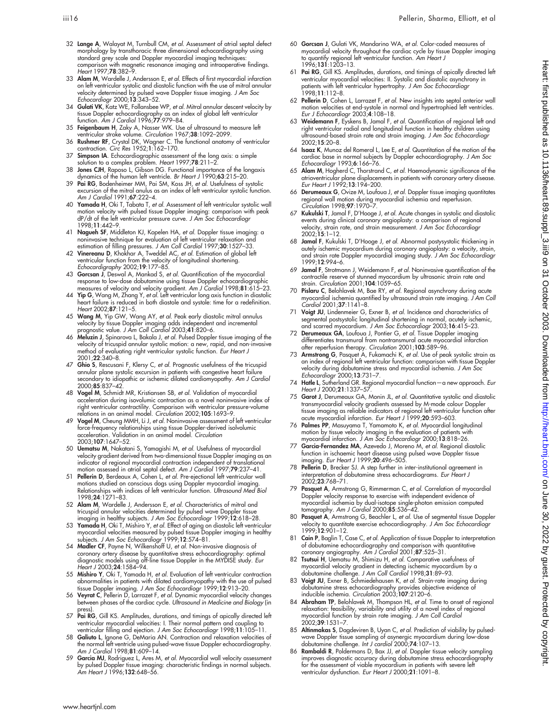Heart: first published as 10.1136/heart.89.suppl\_3.iii9 on 31 October 2003. Downloaded from <http://heart.bmj.com/> on June 30, 2022 by guest. Protected by copyright.

2022 by guest. Protected by copyright.

Heart: first published as 10.1136/heart.89.suppl\_3.iii9 on 31 October 2003. Downloaded from http://heart.bmj.com/ on June 30,

- 60 Gorcsan J, Gulati VK, Mandarino WA, et al. Color-coded measures of myocardial velocity throughout the cardiac cycle by tissue Doppler imaging to quantify regional left ventricular function. Am Heart J
- 1996;131:1203–13. 61 Pai RG, Gill KS. Amplitudes, durations, and timings of apically directed left ventricular myocardial velocities: II. Systolic and diastolic asynchrony in patients with left ventricular hypertrophy. J Am Soc Echocardiogr  $1998 \cdot 11 \cdot 112 - 8$
- 62 Pellerin D, Cohen L, Larrazet F, et al. New insights into septal anterior wall motion velocities at end-systole in normal and hypertrophied left ventricles. Eur J Echocardiogr 2003;4:108–18.
- 63 Weidemann F, Eyskens B, Jamal F, et al. Quantification of regional left and right ventricular radial and longitudinal function in healthy children using ultrasound-based strain rate and strain imaging. J Am Soc Echocardiogr 2002;15:20–8.
- 64 Isaaz K, Munoz del Romeral L, Lee E, et al. Quantitation of the motion of the cardiac base in normal subjects by Doppler echocardiography. J Am Soc Echocardiogr 1993;6:166–76.
- 65 Alam M, Hogherd C, Thorstrand C, et al. Haemodynamic significance of the atrioventricular plane displacements in patients with coronary artery disease. Eur Heart J 1992;13:194–200.
- 66 Derumeaux G, Ovize M, Loufoua J, et al. Doppler tissue imaging quantitates regional wall motion during myocardial ischemia and reperfusion. Circulation 1998;97:1970–7.
- 67 Kukulski T, Jamal F, D'Hooge J, et al. Acute changes in systolic and diastolic events during clinical coronary angioplasty: a comparison of regional velocity, strain rate, and strain measurement. J Am Soc Echocardiogr 2002;15:1–12.
- 68 Jamal F, Kukulski T, D'Hooge J, et al. Abnormal postysystolic thickening in autely ischemic myocardium during coronary angioplasty: a velocity, strain, and strain rate Doppler myocardial imaging study. J Am Soc Echocardiogr 1999;12:994–6.
- 69 Jamal F, Strotmann J, Weidemann F, et al. Noninvasive quantification of the contractile reserve of stunned myocardium by ultrasonic strain rate and strain. Circulation 2001;104:1059–65.
- 70 Pislaru C, Belohlavek M, Bae RY, et al. Regional asynchrony during acute myocardial ischemia quantified by ultrasound strain rate imaging. J Am Coll Cardiol 2001;37:1141–8.
- 71 Voigt JU, Lindenmeier G, Exner B, et al. Incidence and characteristics of segmental postsystolic longitudinal shortening in normal, acutely ischemic, and scarred myocardium. J Am Soc Echocardiogr 2003;16:415-23.
- 72 Derumeaux GA, Loufoua J, Pontier G, et al. Tissue Doppler imaging ditterentiates transmural trom nontransmural acute myocardial intarction<br>after reperfusion therapy. *Circulation* 2001;**103**:589–96.
- 73 Armstrong G, Pasquet A, Fukamachi K, et al. Use of peak systolic strain as an index of regional left ventricular function: comparison with tissue Doppler<br>velocity during dobutamine stress and myocardial ischemia. *J Am Soc*<br>*Echocardiogr* 2000;**13**:731–7.
- 74 Hatle L, Sutherland GR. Regional myocardial function—a new approach. Eur Heart J 2000;21:1337–57.
- 75 Garot J, Derumeaux GA, Monin JL, et al. Quantitative systolic and diastolic transmyocardial velocity gradients assessed by M-mode colour Doppler tissue imaging as reliable indicators of regional left ventricular function after acute myocardial infarction. Eur Heart J 1999;20:593-603.
- 76 Palmes PP, Masuyama T, Yamamoto K, et al. Myocardial longitudinal motion by tissue velocity imaging in the evaluation of patients with myocardial infarction. J Am Soc Echocardiogr 2000;13:818–26.
- Garcia-Fernandez MA, Azevedo J, Moreno M, et al. Regional diastolic function in ischaemic heart disease using pulsed wave Doppler tissue<br>imaging. *Eur Heart J* 1999;**20**:496–505.
- 78 Pellerin D, Brecker SJ. A step further in inter-institutional agreement in interpretation of dobutamine stress echocardiograms. Eur Heart J 2002;23:768–71.
- 79 Pasquet A, Armstrong G, Rimmerman C, et al. Correlation of myocardial Doppler velocity response to exercise with independent evidence of myocardial ischemia by dual-isotope single-photon emission computed tomography. Am J Cardiol 2000;85:536–42.
- 80 Pasquet A, Armstrong G, Beachler L, et al. Use of segmental tissue Doppler velocity to quantitate exercise echocardiography. J Am Soc Echocardiogr 1999;12:901–12.
- 81 Cain P, Baglin T, Case C, et al. Application of tissue Doppler to interpretation of dobutamine echocardiography and comparison with quantitative
- coronary angiography. Am J Cardiol 2001;**87**:525–31.<br>82 **Tsutsui H**, Uematsu M, Shimizu H, et al. Comparative usefulness of myocardial velocity gradient in detecting ischemic myocardium by c<br>dobutamine challenge. *J Am Coll Cardiol* 1998;**31**:89–93.
- 83 Voigt JU, Exner B, Schmiedehausen K, et al. Strain-rate imaging during dobutamine stress echocardiography provides objective evidence ol<br>inducible ischemia. *Circulation* 2003;1**07**:2120–6.
- 84 Abraham TP, Belohlavek M, Thompson HL, et al. Time to onset of regional relaxation: feasibility, variability and utility of a novel index of regional myocardial function by strain rate imaging. J Am Coll Cardiol
- 2002;39:1531–7.
- 85 Altinmakas S, Dagdeviren B, Uyan C, *et al.* Prediction of viability by pulsed-<br>wave Doppler tissue sampling of asynergic myocardium during low-dose<br>dobutamine challenge. *Int J cardiol* 2000;**74**:107–13.
- 86 Rambaldi R, Poldermans D, Bax JJ, et al. Doppler tissue velocity sampling improves diagnostic accuracy during dobutamine stress echocardiography for the assessment of viable myocardium in patients with severe left ventricular dysfunction. Eur Heart J 2000;21:1091-8.
- 32 Lange A, Walayat M, Turnbull CM, et al. Assessment of atrial septal defect morphology by transthoracic three dimensional echocardiography using standard grey scale and Doppler myocardial imaging techniques comparison with magnetic resonance imaging and intraoperative findings. Heart 1997;78:382–9.
- 33 Alam M, Wardelle J, Andersson E, et al. Effects of first myocardial infarction on left ventricular systolic and diastolic function with the use of mitral annular velocity determined by pulsed wave Doppler tissue imaging. J Am Soc Echocardiogr 2000;13:343–52.
- 34 Gulati VK, Katz WE, Follansbee WP, et al. Mitral annular descent velocity by tissue Doppler echocardiography as an index of global left ventricular function. Am J Cardiol 1996;77:979–84.
- 35 Feigenbaum H, Zaky A, Nasser WK. Use of ultrasound to measure left ventricular stroke volume. Circulation 1967;38:1092–2099.
- 36 Rushmer RF, Crystal DK, Wagner C. The functional anatomy of ventricular contraction. Circ Res 1952;1:162–170.
- 37 Simpson IA. Echocardiographic assessment of the long axis: a simple solution to a complex problem. Heart 1997;78:211-2. 38 Jones CJH, Raposo L, Gibson DG. Functional importance of the longaxis
- dynamics of the human left ventricle. Br Heart J 1990;63:215-20. 39 Pai RG, Bodenheimer MM, Pai SM, Koss JH, et al. Usefulness of systolic
- excursion of the mitral anulus as an index of left ventricular systolic function. Am J Cardiol 1991;67:222-4.
- 40 Yamada H, Oki T, Tabata T, et al. Assessment of left ventricular systolic wall motion velocity with pulsed tissue Doppler imaging: comparison with peak<br>dP/dt of the left ventricular pressure curve. J Am Soc Echocardiogr 1998;11:442–9.
- 41 Nagueh SF, Middleton KJ, Kopelen HA, et al. Doppler tissue imaging: a noninvasive technique for evaluation of left ventricular relaxation and estimation of filling pressures. J Am Coll Cardiol 1997;30:1527-33.
- 42 Vinereanu D, Khokhar A, Tweddel AC, et al. Estimation of global left ventricular function from the velocity of longitudinal shortening. Echocardigraphy 2002;19:177–85.
- 43 Gorcsan J, Deswal A, Mankad S, et al. Quantification of the myocardial response to low-dose dobutamine using tissue Doppler echocardiographic<br>measures of velocity and velocity gradient. Am J Cardiol 1998;81:615–23.<br>44 Yip G, Wang M, Zhang Y, et al. Left ventricular long axis function in diast
- heart failure is reduced in both diastole and systole: time for a redefinition. Heart 2002:**87**:121-5
- 45 Wang M, Yip GW, Wang AY, et al. Peak early diastolic mitral annulus velocity by tissue Doppler imaging adds independent and incremental<br>prognostic value. J Am Coll Cardiol 2003;41:820–6.<br>46 Meluzin J, Spinarova L, Bakala J, *et al.* Pulsed Doppler tissue imaging of the
- velocity of tricuspid annular systolic motion: a new, rapid, and non-invasive method of evaluating right ventricular systolic function. Eur Heart J 2001;22:340–8.
- 47 Ghio S, Rescusani F, Klersy C, et al. Prognostic usefulness of the tricuspid annular plane systolic excursion in patients with congestive heart failure secondary to idiopathic or ischemic dilated cardiomyopathy. Am J Cardiol 2000;85:837–42.
- 48 Vogel M, Schmidt MR, Kristiansen SB, et al. Validation of myocardial acceleration during isovolumic contraction as a novel noninvasive index of right ventricular contractility. Comparison with ventricular pressure-volume<br>relations in an animal model. *Circulation* 2002;**105**:1693–9.
- Vogel M, Cheung MMH, Li J, et al. Noninvasive assessment of left ventricular force-frequency relationships using tissue Doppler-derived isolvolumic acceleration. Validation in an animal model. Circulation 2003;107:1647–52.
- 50 Uematsu M, Nakatani S, Yamagishi M, et al. Usefulness of myocardial velocity gradient derived from two-dimensional tissue Doppler imaging as an indicator of regional myocardial contraction independent of translational motion assessed in atrial septal defect. Am J Cardiol 1997;79:237–41.
- 51 Pellerin D, Berdeaux A, Cohen L, et al. Pre-ejectional left ventricular wall motions studied on conscious dogs using Doppler myocardial imaging.<br>Relationships with indices of left ventricular function. *Ultrasound Med Bio*l 1998;24:1271–83.
- 52 Alam M, Wardelle J, Andersson E, et al. Characteristics of mitral and tricuspid annular velocities determined by pulsed wave Doppler tissue
- imaging in healthy subjects. *J Am Soc Echocardiogr* 1999;1**2**:618–28.<br>53 Yamada H, Oki T, Mishiro Y, *et al.* Effect of aging on diastolic left ventricular myocardial velocities measured by pulsed tissue Doppler imaging in healthy<br>subjects. *J Am Soc Echocardiogr* 1999;**12**:574–81.
- 54 Madler CF, Payne N, Wilkenshoff U, et al. Non-invasive diagnosis of coronary artery disease by quantitative stress echocardiography: optimal diagnostic models using off-line tissue Doppler in the MYDISE study. Eur Heart J 2003;24:1584–94.
- 55 Mishiro Y, Oki T, Yamada H, *et al.* Evaluation of left ventricular contraction<br>chormalities in patients with dilated cardiomyopathy with the use of pulsed<br>tissue Doppler imaging. J Am Soc Echocardiogr 1999;12:913-20.<br>5
- between phases of the cardiac cycle. Ultrasound in Medicine and Biology (in press).
- 57 Pai RG, Gill KS. Amplitudes, durations, and timings of apically directed left
- ventricular myocardial velocities: I. Their normal pattern and coupling to<br>ventricular filling and ejection. J Am Soc Echocardiogr 1998;11:105–11.<br>58 Galiuto L, Ignone G, DeMaria AN. Contraction and relaxation velocities o Am J Cardiol 1998;81:609–14.
- 59 Garcia MJ, Rodriguez L, Ares M, et al. Myocardial wall velocity assessment by pulsed Doppler tissue imaging: characteristic findings in normal subjects. Am Heart J 1996;132:648-56.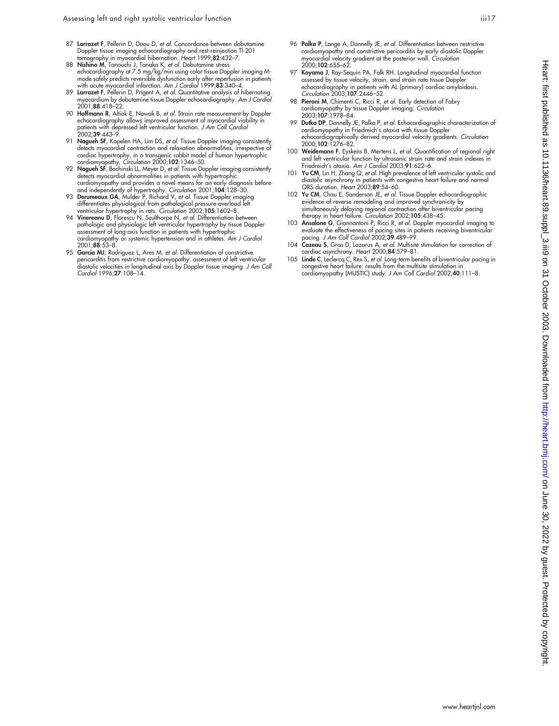- 87 Larrazet F, Pellerin D, Daou D, et al. Concordance between dobutamine Doppler tissue imaging echocardiography and rest-reinjection Tl-201 omography in myocardial hibernation. Heart 1999;82:432–7
- 88 Nishino M, Tanouchi J, Tanaka K, et al. Dobutamine stress echocardiography at 7.5 mg/kg/min using color tissue Doppler imaging Mmode sately predicts reversible dystunction early atter repertusion in patients<br>with acute myocardial infarction. Am J Cardiol 1999;**83**:340–4.
- 89 Larrazet F, Pellerin D, Prigent A, *et al.* Quantitative analysis of hibernating<br>myocardium by dobutamine tissue Doppler echocardiography. A*m J Cardio* 2001;88:418–22.
- 90 Hoffmann R, Altiok E, Nowak B, et al. Strain rate measurement by Doppler echocardiography allows improved assessment of myocardial viability in patients with depressed left ventricular function. J Am Coll Cardiol panems<br>2002;**39**:443–9.
- 91 Nagueh SF, Kopelen HA, Lim DS, et al. Tissue Doppler imaging consistently detects myocardial contraction and relaxation abnormalities, irrespective of cardiac hypertrophy, in a transgenic rabbit model of human hypertrophic cardiomyopathy. Circulation 2000;102:1346–50.
- 92 Nagueh SF, Bachinski LL, Meyer D, et al. Tissue Doppler imaging consistently detects myocardial abnormalities in patients with hypertrophic cardiomyopathy and provides a novel means tor an early diagnosis betore<br>and independently of hypertrophy. *Circulation* 2001;**104**:128–30.<br>93 **Derumeaux GA**, Mulder P, Richard V, *et al.* Tissue Doppler imaging
- differentiates physiological from pathological pressure-overload left ventricular hypertrophy in rats. Circulation 2002;105:1602-8.
- 94 Vinereanu D, Florescu N, Sculthorpe N, et al. Differentiation between pathologic and physiologic left ventricular hypertrophy by tissue Doppler assessment of long-axis function in patients with hypertrophic cardiomyopathy or systemic hypertension and in athletes. Am J Cardiol 2001;88:53–8.
- 95 **Garcia MJ**, Rodriguez L, Ares M, *et al.* Differentiation of constrictive<br>pericarditis from restrictive cardiomyopathy: assessment of left ventricular<br>diastolic velocities in longitudinal axis by Doppler tissue imaging Cardiol 1996;27:108–14.
- 96 Palka P, Lange A, Donnelly JE, et al. Differentiation between restrictive cardiomyopathy and constrictive pericarditis by early diastolic Doppler myocardial velocity gradient at the posterior wall. Circulation 2000;102:655–62.
- Koyama J, Ray-Sequin PA, Falk RH. Longitudinal myocardial function assessed by tissue velocity, strain, and strain rate tissue Doppler echocardiography in patients with AL (primary) cardiac amyloidosis. Circulation 2003;107:2446–52.
- 98 Pieroni M, Chimenti C, Ricci R, et al. Early detection of Fabry cardiomyopathy by tissue Doppler imaging. Circulation 2003;107:1978–84.
- 99 Dutka DP, Donnelly JE, Palka P, et al. Echocardiographic characterization of cardiomyopathy in Friedreich's ataxia with tissue Doppler echocardiographically derived myocardial velocity gradients. Circulation 2000;102:1276–82.
- 100 Weidemann F, Eyskens B, Mertens L, et al. Quantification of regional right and left ventricular function by ultrasonic strain rate and strain indexes in Friedreich's ataxia. Am J Cardiol 2003;91:622–6.
- 101 Yu CM, Lin H, Zhang Q, et al. High prevalence of left ventricular systolic and diastolic asynchrony in patients with congestive heart failure and normal QRS duration. Heart 2003;89:54–60.
- 102 Yu CM, Chau E, Sanderson JE, et al. Tissue Doppler echocardiographic evidence of reverse remodeling and improved synchronicity by simultaneously delaying regional contraction atter biventricular pacing<br>therapy in heart failure. *Circulation* 2002;**105**:438–45.
- 103 Ansalone G, Giannantoni P, Ricci R, et al. Doppler myocardial imaging to evaluate the effectiveness of pacing sites in patients receiving biventricular pacing. J Am Coll Cardiol 2002;39:489–99.
- 104 Cazeau S, Gras D, Lazarus A, et al. Multisite stimulation for correction of cardiac asynchrony. Heart 2000;84:579–81.
- 105 Linde C, Leclercq C, Rex S, et al. Long-term benefits of biventricular pacing in congestive heart failure: results from the multisite stimulation in cardiomyopathy (MUSTIC) study. J Am Coll Cardiol 2002;40:111-8.